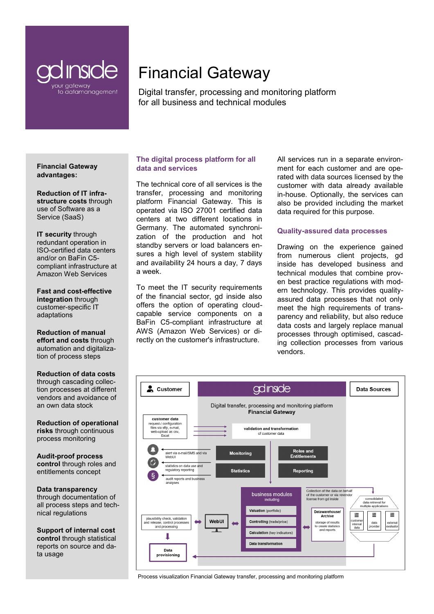

# Financial Gateway

Digital transfer, processing and monitoring platform for all business and technical modules

**Financial Gateway advantages:**

**Reduction of IT infrastructure costs** through use of Software as a Service (SaaS)

**IT security** through redundant operation in ISO-certified data centers and/or on BaFin C5 compliant infrastructure at Amazon Web Services

**Fast and cost-effective integration** through customer-specific IT adaptations

**Reduction of manual effort and costs** through automation and digitalization of process steps

**Reduction of data costs**  through cascading collection processes at different vendors and avoidance of an own data stock

**Reduction of operational risks** through continuous process monitoring

**Audit-proof process control** through roles and entitlements concept

**Data transparency**  through documentation of all process steps and technical regulations

**Support of internal cost control** through statistical reports on source and data usage

# **The digital process platform for all data and services**

The technical core of all services is the transfer, processing and monitoring platform Financial Gateway. This is operated via ISO 27001 certified data centers at two different locations in Germany. The automated synchronization of the production and hot standby servers or load balancers ensures a high level of system stability and availability 24 hours a day, 7 days a week.

To meet the IT security requirements of the financial sector, gd inside also offers the option of operating cloudcapable service components on a BaFin C5-compliant infrastructure at AWS (Amazon Web Services) or directly on the customer's infrastructure.

All services run in a separate environment for each customer and are operated with data sources licensed by the customer with data already available in-house. Optionally, the services can also be provided including the market data required for this purpose.

#### **Quality-assured data processes**

Drawing on the experience gained from numerous client projects, gd inside has developed business and technical modules that combine proven best practice regulations with modern technology. This provides qualityassured data processes that not only meet the high requirements of transparency and reliability, but also reduce data costs and largely replace manual processes through optimised, cascading collection processes from various vendors.



Process visualization Financial Gateway transfer, processing and monitoring platform